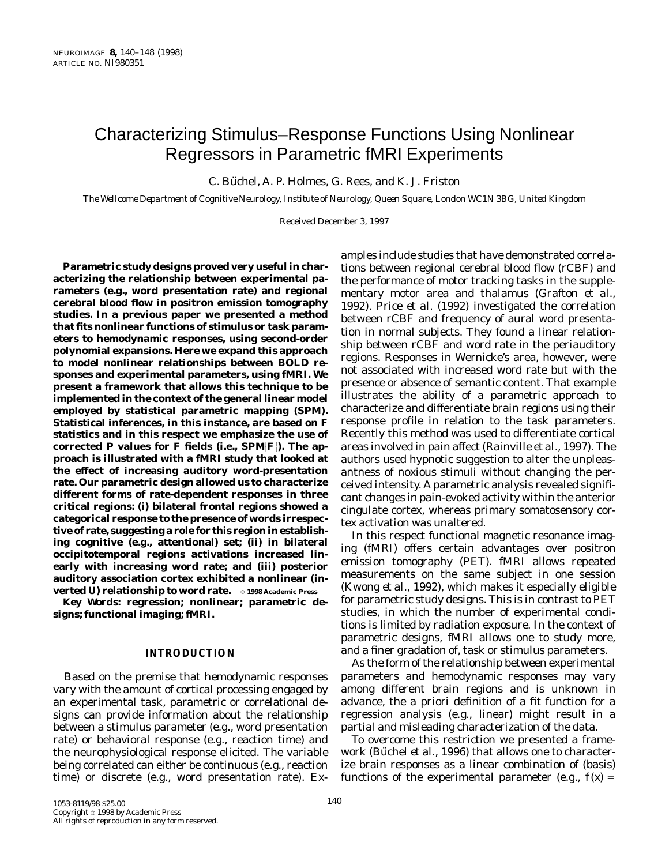# Characterizing Stimulus–Response Functions Using Nonlinear Regressors in Parametric fMRI Experiments

C. Büchel, A. P. Holmes, G. Rees, and K. J. Friston

*The Wellcome Department of Cognitive Neurology, Institute of Neurology, Queen Square, London WC1N 3BG, United Kingdom*

Received December 3, 1997

**Parametric study designs proved very useful in characterizing the relationship between experimental parameters (e.g., word presentation rate) and regional cerebral blood flow in positron emission tomography studies. In a previous paper we presented a method that fits nonlinear functions of stimulus or task parameters to hemodynamic responses, using second-order polynomial expansions. Here we expand this approach to model nonlinear relationships between BOLD responses and experimental parameters, using fMRI. We present a framework that allows this technique to be implemented in the context of the general linear model employed by statistical parametric mapping (SPM). Statistical inferences, in this instance, are based on** *F* **statistics and in this respect we emphasize the use of** corrected  $P$  values for  $F$  fields (i.e., SPM $\{F\}$ ). The ap**proach is illustrated with a fMRI study that looked at the effect of increasing auditory word-presentation rate. Our parametric design allowed us to characterize different forms of rate-dependent responses in three critical regions: (i) bilateral frontal regions showed a categorical response to the presence of words irrespective of rate, suggesting a role for this region in establishing cognitive (e.g., attentional) set; (ii) in bilateral occipitotemporal regions activations increased linearly with increasing word rate; and (iii) posterior auditory association cortex exhibited a nonlinear (inverted U) relationship to word rate. 0 1998 Academic Press** 

*Key Words:* **regression; nonlinear; parametric designs; functional imaging; fMRI.**

### **INTRODUCTION**

Based on the premise that hemodynamic responses vary with the amount of cortical processing engaged by an experimental task, parametric or correlational designs can provide information about the relationship between a stimulus parameter (e.g., word presentation rate) or behavioral response (e.g., reaction time) and the neurophysiological response elicited. The variable being correlated can either be continuous (e.g., reaction time) or discrete (e.g., word presentation rate). Examples include studies that have demonstrated correlations between regional cerebral blood flow (rCBF) and the performance of motor tracking tasks in the supplementary motor area and thalamus (Grafton *et al.,* 1992). Price *et al.* (1992) investigated the correlation between rCBF and frequency of aural word presentation in normal subjects. They found a linear relationship between rCBF and word rate in the periauditory regions. Responses in Wernicke's area, however, were not associated with increased word rate but with the presence or absence of semantic content. That example illustrates the ability of a parametric approach to characterize and differentiate brain regions using their response profile in relation to the task parameters. Recently this method was used to differentiate cortical areas involved in pain affect (Rainville *et al.,* 1997). The authors used hypnotic suggestion to alter the unpleasantness of noxious stimuli without changing the perceived intensity. A parametric analysis revealed significant changes in pain-evoked activity within the anterior cingulate cortex, whereas primary somatosensory cortex activation was unaltered.

In this respect functional magnetic resonance imaging (fMRI) offers certain advantages over positron emission tomography (PET). fMRI allows repeated measurements on the same subject in one session (Kwong *et al.,* 1992), which makes it especially eligible for parametric study designs. This is in contrast to PET studies, in which the number of experimental conditions is limited by radiation exposure. In the context of parametric designs, fMRI allows one to study more, and a finer gradation of, task or stimulus parameters.

As the form of the relationship between experimental parameters and hemodynamic responses may vary among different brain regions and is unknown in advance, the *a priori* definition of a fit function for a regression analysis (e.g., linear) might result in a partial and misleading characterization of the data.

To overcome this restriction we presented a framework (Büchel *et al.*, 1996) that allows one to characterize brain responses as a linear combination of (basis) functions of the experimental parameter (e.g.,  $f(x) =$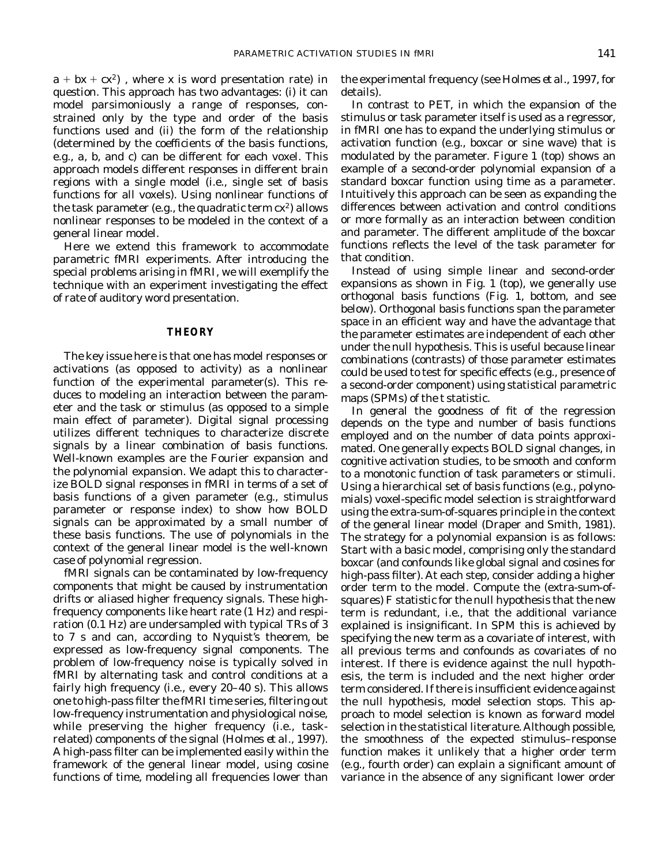$a + bx + cx^2$ , where *x* is word presentation rate) in question. This approach has two advantages: (i) it can model parsimoniously a range of responses, constrained only by the type and order of the basis functions used and (ii) the form of the relationship (determined by the coefficients of the basis functions, e.g., *a, b,* and *c*) can be different for each voxel. This approach models different responses in different brain regions with a single model (i.e., single set of basis functions for all voxels). Using nonlinear functions of the task parameter (e.g., the quadratic term *cx*2) allows nonlinear responses to be modeled in the context of a general linear model.

Here we extend this framework to accommodate parametric fMRI experiments. After introducing the special problems arising in fMRI, we will exemplify the technique with an experiment investigating the effect of rate of auditory word presentation.

#### **THEORY**

The key issue here is that one has model responses or activations (as opposed to activity) as a nonlinear function of the experimental parameter(s). This reduces to modeling an interaction between the parameter and the task or stimulus (as opposed to a simple main effect of parameter). Digital signal processing utilizes different techniques to characterize discrete signals by a linear combination of basis functions. Well-known examples are the Fourier expansion and the polynomial expansion. We adapt this to characterize BOLD signal responses in fMRI in terms of a set of basis functions of a given parameter (e.g., stimulus parameter or response index) to show how BOLD signals can be approximated by a small number of these basis functions. The use of polynomials in the context of the general linear model is the well-known case of polynomial regression.

fMRI signals can be contaminated by low-frequency components that might be caused by instrumentation drifts or aliased higher frequency signals. These highfrequency components like heart rate (1 Hz) and respiration (0.1 Hz) are undersampled with typical TRs of 3 to 7 s and can, according to Nyquist's theorem, be expressed as low-frequency signal components. The problem of low-frequency noise is typically solved in fMRI by alternating task and control conditions at a fairly high frequency (i.e., every 20–40 s). This allows one to high-pass filter the fMRI time series, filtering out low-frequency instrumentation and physiological noise, while preserving the higher frequency (i.e., taskrelated) components of the signal (Holmes *et al.,* 1997). A high-pass filter can be implemented easily within the framework of the general linear model, using cosine functions of time, modeling all frequencies lower than

the experimental frequency (see Holmes *et al.,* 1997, for details).

In contrast to PET, in which the expansion of the stimulus or task parameter itself is used as a regressor, in fMRI one has to expand the underlying stimulus or activation function (e.g., boxcar or sine wave) that is modulated by the parameter. Figure 1 (top) shows an example of a second-order polynomial expansion of a standard boxcar function using time as a parameter. Intuitively this approach can be seen as expanding the differences between activation and control conditions or more formally as an interaction between condition and parameter. The different amplitude of the boxcar functions reflects the level of the task parameter for that condition.

Instead of using simple linear and second-order expansions as shown in Fig. 1 (top), we generally use orthogonal basis functions (Fig. 1, bottom, and see below). Orthogonal basis functions span the parameter space in an efficient way and have the advantage that the parameter estimates are independent of each other under the null hypothesis. This is useful because linear combinations (contrasts) of those parameter estimates could be used to test for specific effects (e.g., presence of a second-order component) using statistical parametric maps (SPMs) of the *t* statistic.

In general the goodness of fit of the regression depends on the type and number of basis functions employed and on the number of data points approximated. One generally expects BOLD signal changes, in cognitive activation studies, to be smooth and conform to a monotonic function of task parameters or stimuli. Using a hierarchical set of basis functions (e.g., polynomials) voxel-specific model selection is straightforward using the extra-sum-of-squares principle in the context of the general linear model (Draper and Smith, 1981). The strategy for a polynomial expansion is as follows: Start with a basic model, comprising only the standard boxcar (and confounds like global signal and cosines for high-pass filter). At each step, consider adding a higher order term to the model. Compute the (extra-sum-ofsquares) *F* statistic for the null hypothesis that the new term is redundant, i.e., that the additional variance explained is insignificant. In SPM this is achieved by specifying the new term as a covariate of interest, with all previous terms and confounds as covariates of no interest. If there is evidence against the null hypothesis, the term is included and the next higher order term considered. If there is insufficient evidence against the null hypothesis, model selection stops. This approach to model selection is known as forward model selection in the statistical literature. Although possible, the smoothness of the expected stimulus–response function makes it unlikely that a higher order term (e.g., fourth order) can explain a significant amount of variance in the absence of any significant lower order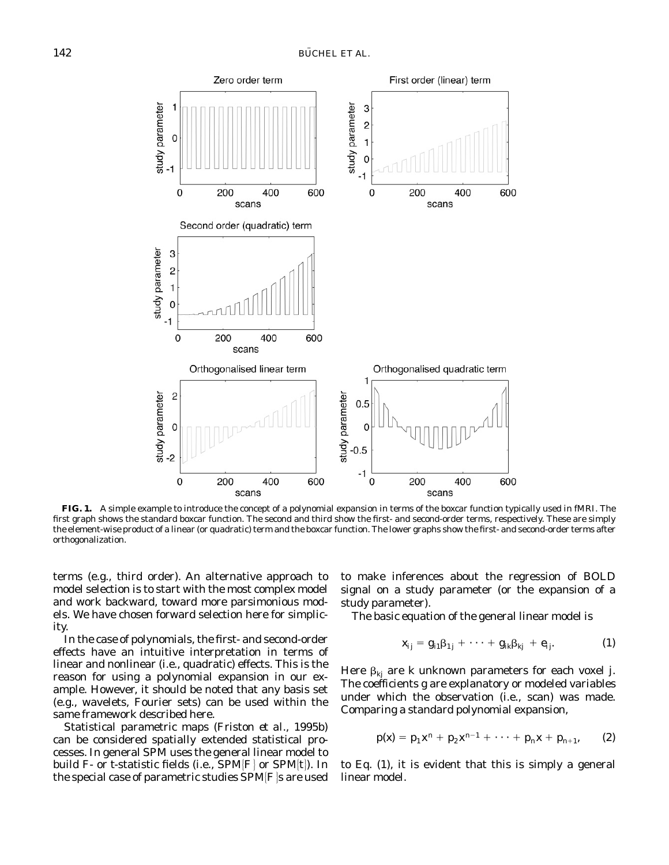

**FIG. 1.** A simple example to introduce the concept of a polynomial expansion in terms of the boxcar function typically used in fMRI. The first graph shows the standard boxcar function. The second and third show the first- and second-order terms, respectively. These are simply the element-wise product of a linear (or quadratic) term and the boxcar function. The lower graphs show the first- and second-order terms after orthogonalization.

terms (e.g., third order). An alternative approach to model selection is to start with the most complex model and work backward, toward more parsimonious models. We have chosen forward selection here for simplicity.

In the case of polynomials, the first- and second-order effects have an intuitive interpretation in terms of linear and nonlinear (i.e., quadratic) effects. This is the reason for using a polynomial expansion in our example. However, it should be noted that any basis set (e.g., wavelets, Fourier sets) can be used within the same framework described here.

Statistical parametric maps (Friston *et al.,* 1995b) can be considered spatially extended statistical processes. In general SPM uses the general linear model to build *F*- or *t*-statistic fields (i.e.,  $SPM|F|$  or  $SPM|t|$ ). In the special case of parametric studies  $SPM|F|s$  are used

to make inferences about the regression of BOLD signal on a study parameter (or the expansion of a study parameter).

The basic equation of the general linear model is

$$
x_{ij}=g_{i1}\beta_{1j}+\cdots+g_{ik}\beta_{kj}+e_{ij}.
$$
 (1)

Here  $\beta_{ki}$  are *k* unknown parameters for each voxel *j*. The coefficients *g* are explanatory or modeled variables under which the observation (i.e., scan) was made. Comparing a standard polynomial expansion,

$$
p(x) = p_1 x^n + p_2 x^{n-1} + \cdots + p_n x + p_{n+1}, \qquad (2)
$$

to Eq. (1), it is evident that this is simply a general linear model.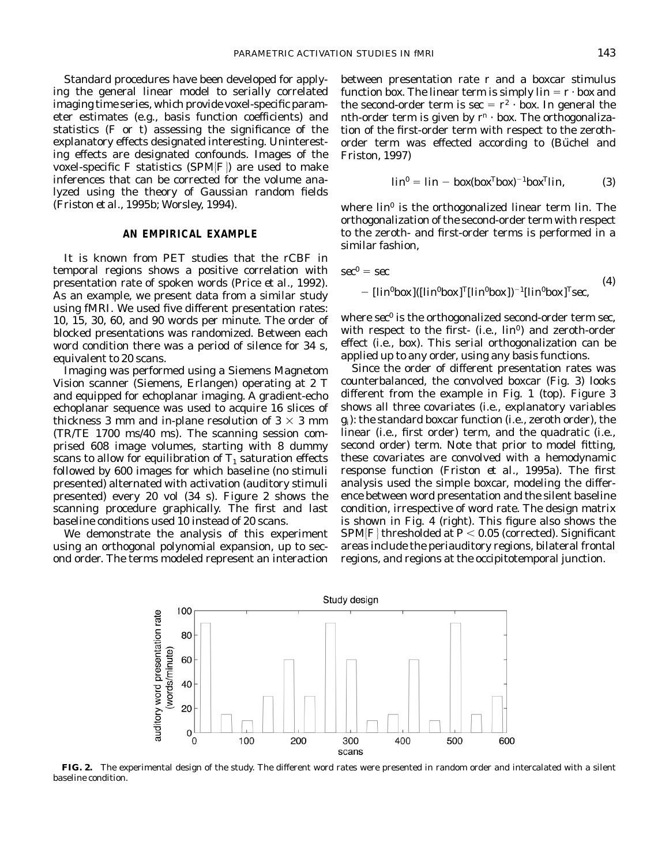Standard procedures have been developed for applying the general linear model to serially correlated imaging time series, which provide voxel-specific parameter estimates (e.g., basis function coefficients) and statistics (*F* or *t*) assessing the significance of the explanatory effects designated interesting. Uninteresting effects are designated confounds. Images of the voxel-specific *F* statistics (SPM $\{F\}$ ) are used to make inferences that can be corrected for the volume analyzed using the theory of Gaussian random fields (Friston *et al.,* 1995b; Worsley, 1994).

## **AN EMPIRICAL EXAMPLE**

It is known from PET studies that the rCBF in temporal regions shows a positive correlation with presentation rate of spoken words (Price *et al.,* 1992). As an example, we present data from a similar study using fMRI. We used five different presentation rates: 10, 15, 30, 60, and 90 words per minute. The order of blocked presentations was randomized. Between each word condition there was a period of silence for 34 s, equivalent to 20 scans.

Imaging was performed using a Siemens Magnetom Vision scanner (Siemens, Erlangen) operating at 2 T and equipped for echoplanar imaging. A gradient-echo echoplanar sequence was used to acquire 16 slices of thickness 3 mm and in-plane resolution of  $3 \times 3$  mm (TR/TE 1700 ms/40 ms). The scanning session comprised 608 image volumes, starting with 8 dummy scans to allow for equilibration of  $T_1$  saturation effects followed by 600 images for which baseline (no stimuli presented) alternated with activation (auditory stimuli presented) every 20 vol (34 s). Figure 2 shows the scanning procedure graphically. The first and last baseline conditions used 10 instead of 20 scans.

We demonstrate the analysis of this experiment using an orthogonal polynomial expansion, up to second order. The terms modeled represent an interaction between presentation rate *r* and a boxcar stimulus function *box*. The linear term is simply  $\lim_{t \to \infty} r \cdot b$  *ox* and the second-order term is  $sec = r^2 \cdot box$ . In general the *n*th-order term is given by  $r^n \cdot box$ . The orthogonalization of the first-order term with respect to the zerothorder term was effected according to (Büchel and Friston, 1997)

$$
lin^0 = lin - box(box^Tbox^T) - box^Tlin,
$$
 (3)

where *lin*<sup>0</sup> is the orthogonalized linear term *lin.* The orthogonalization of the second-order term with respect to the zeroth- and first-order terms is performed in a similar fashion,

$$
sec^{0} = sec
$$
  
- [lin<sup>0</sup>box]([lin<sup>0</sup>box]<sup>T</sup>[lin<sup>0</sup>box])<sup>-1</sup>[lin<sup>0</sup>box]<sup>T</sup>sec, (4)

where *sec*<sup>0</sup> is the orthogonalized second-order term *sec*, with respect to the first- (i.e., *lin*<sup>0</sup>) and zeroth-order effect (i.e., *box*). This serial orthogonalization can be applied up to any order, using any basis functions.

Since the order of different presentation rates was counterbalanced, the convolved boxcar (Fig. 3) looks different from the example in Fig. 1 (top). Figure 3 shows all three covariates (i.e., explanatory variables *gi*): the standard boxcar function (i.e., zeroth order), the linear (i.e., first order) term, and the quadratic (i.e., second order) term. Note that prior to model fitting, these covariates are convolved with a hemodynamic response function (Friston *et al.,* 1995a). The first analysis used the simple boxcar, modeling the difference between word presentation and the silent baseline condition, irrespective of word rate. The design matrix is shown in Fig. 4 (right). This figure also shows the  $SPM|F|$  thresholded at  $P < 0.05$  (corrected). Significant areas include the periauditory regions, bilateral frontal regions, and regions at the occipitotemporal junction.



**FIG. 2.** The experimental design of the study. The different word rates were presented in random order and intercalated with a silent baseline condition.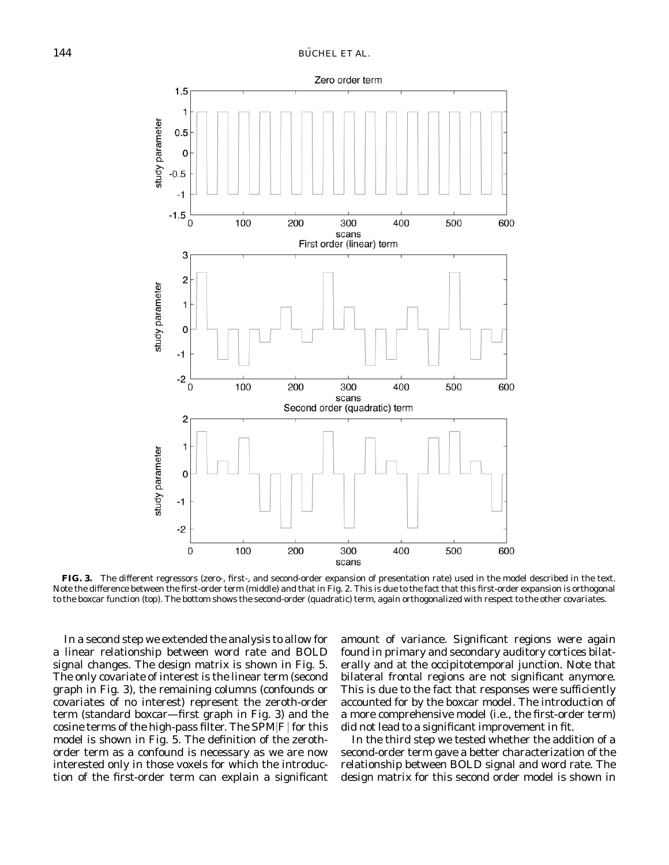

**FIG. 3.** The different regressors (zero-, first-, and second-order expansion of presentation rate) used in the model described in the text. Note the difference between the first-order term (middle) and that in Fig. 2. This is due to the fact that this first-order expansion is orthogonal to the boxcar function (top). The bottom shows the second-order (quadratic) term, again orthogonalized with respect to the other covariates.

In a second step we extended the analysis to allow for a linear relationship between word rate and BOLD signal changes. The design matrix is shown in Fig. 5. The only covariate of interest is the linear term (second graph in Fig. 3), the remaining columns (confounds or covariates of no interest) represent the zeroth-order term (standard boxcar—first graph in Fig. 3) and the cosine terms of the high-pass filter. The  $SPM|F|$  for this model is shown in Fig. 5. The definition of the zerothorder term as a confound is necessary as we are now interested only in those voxels for which the introduction of the first-order term can explain a significant amount of variance. Significant regions were again found in primary and secondary auditory cortices bilaterally and at the occipitotemporal junction. Note that bilateral frontal regions are not significant anymore. This is due to the fact that responses were sufficiently accounted for by the boxcar model. The introduction of a more comprehensive model (i.e., the first-order term) did not lead to a significant improvement in fit.

In the third step we tested whether the addition of a second-order term gave a better characterization of the relationship between BOLD signal and word rate. The design matrix for this second order model is shown in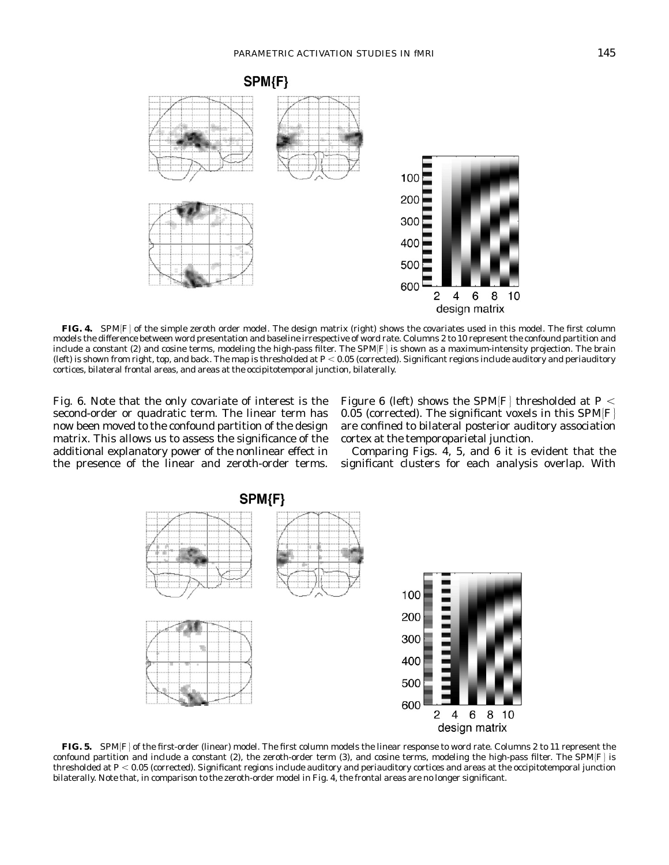

**FIG. 4.** SPM $[F]$  of the simple zeroth order model. The design matrix (right) shows the covariates used in this model. The first column models the difference between word presentation and baseline irrespective of word rate. Columns 2 to 10 represent the confound partition and include a constant (2) and cosine terms, modeling the high-pass filter. The SPM $[F]$  is shown as a maximum-intensity projection. The brain (left) is shown from right, top, and back. The map is thresholded at  $P < 0.05$  (corrected). Significant regions include auditory and periauditory cortices, bilateral frontal areas, and areas at the occipitotemporal junction, bilaterally.

Fig. 6. Note that the only covariate of interest is the second-order or quadratic term. The linear term has now been moved to the confound partition of the design matrix. This allows us to assess the significance of the additional explanatory power of the nonlinear effect in the presence of the linear and zeroth-order terms. Figure 6 (left) shows the SPM $|F|$  thresholded at  $P <$ 0.05 (corrected). The significant voxels in this  $SPM|F|$ are confined to bilateral posterior auditory association cortex at the temporoparietal junction.

Comparing Figs. 4, 5, and 6 it is evident that the significant clusters for each analysis overlap. With



**FIG. 5.** SPM $[F]$  of the first-order (linear) model. The first column models the linear response to word rate. Columns 2 to 11 represent the confound partition and include a constant (2), the zeroth-order term (3), and cosine terms, modeling the high-pass filter. The SPM $|F|$  is thresholded at  $P < 0.05$  (corrected). Significant regions include auditory and periauditory cortices and areas at the occipitotemporal junction bilaterally. Note that, in comparison to the zeroth-order model in Fig. 4, the frontal areas are no longer significant.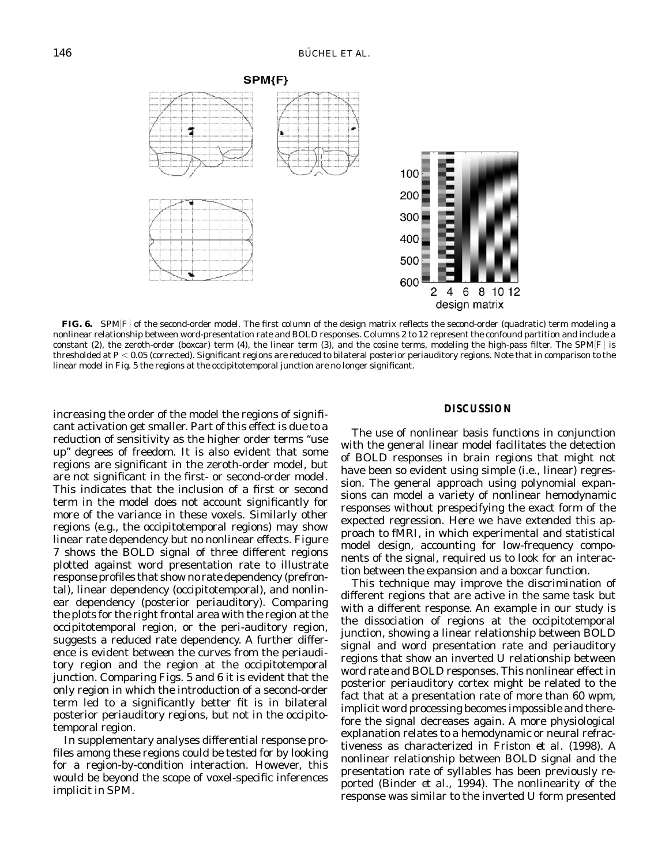

**FIG. 6.** SPM $[F]$  of the second-order model. The first column of the design matrix reflects the second-order (quadratic) term modeling a nonlinear relationship between word-presentation rate and BOLD responses. Columns 2 to 12 represent the confound partition and include a constant (2), the zeroth-order (boxcar) term (4), the linear term (3), and the cosine terms, modeling the high-pass filter. The SPM $[F]$  is thresholded at  $P < 0.05$  (corrected). Significant regions are reduced to bilateral posterior periauditory regions. Note that in comparison to the linear model in Fig. 5 the regions at the occipitotemporal junction are no longer significant.

increasing the order of the model the regions of significant activation get smaller. Part of this effect is due to a reduction of sensitivity as the higher order terms ''use up'' degrees of freedom. It is also evident that some regions are significant in the zeroth-order model, but are not significant in the first- or second-order model. This indicates that the inclusion of a first or second term in the model does not account significantly for more of the variance in these voxels. Similarly other regions (e.g., the occipitotemporal regions) may show linear rate dependency but no nonlinear effects. Figure 7 shows the BOLD signal of three different regions plotted against word presentation rate to illustrate response profiles that show no rate dependency (prefrontal), linear dependency (occipitotemporal), and nonlinear dependency (posterior periauditory). Comparing the plots for the right frontal area with the region at the occipitotemporal region, or the peri-auditory region, suggests a reduced rate dependency. A further difference is evident between the curves from the periauditory region and the region at the occipitotemporal junction. Comparing Figs. 5 and 6 it is evident that the only region in which the introduction of a second-order term led to a significantly better fit is in bilateral posterior periauditory regions, but not in the occipitotemporal region.

In supplementary analyses differential response profiles among these regions could be tested for by looking for a region-by-condition interaction. However, this would be beyond the scope of voxel-specific inferences implicit in SPM.

#### **DISCUSSION**

The use of nonlinear basis functions in conjunction with the general linear model facilitates the detection of BOLD responses in brain regions that might not have been so evident using simple (i.e., linear) regression. The general approach using polynomial expansions can model a variety of nonlinear hemodynamic responses without prespecifying the exact form of the expected regression. Here we have extended this approach to fMRI, in which experimental and statistical model design, accounting for low-frequency components of the signal, required us to look for an interaction between the expansion and a boxcar function.

This technique may improve the discrimination of different regions that are active in the same task but with a different response. An example in our study is the dissociation of regions at the occipitotemporal junction, showing a linear relationship between BOLD signal and word presentation rate and periauditory regions that show an inverted U relationship between word rate and BOLD responses. This nonlinear effect in posterior periauditory cortex might be related to the fact that at a presentation rate of more than 60 wpm, implicit word processing becomes impossible and therefore the signal decreases again. A more physiological explanation relates to a hemodynamic or neural refractiveness as characterized in Friston *et al.* (1998). A nonlinear relationship between BOLD signal and the presentation rate of syllables has been previously reported (Binder *et al.,* 1994). The nonlinearity of the response was similar to the inverted U form presented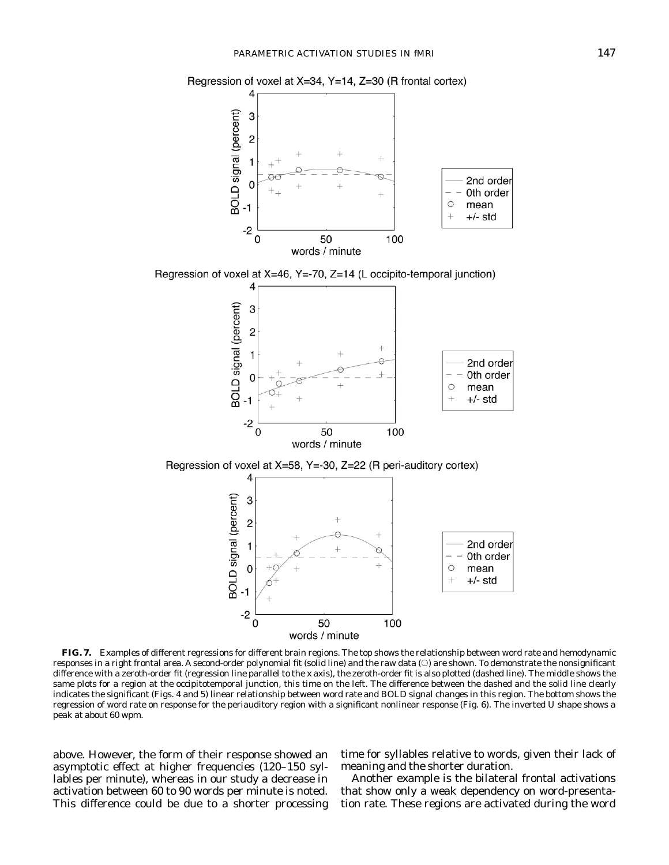

**FIG. 7.** Examples of different regressions for different brain regions. The top shows the relationship between word rate and hemodynamic responses in a right frontal area. A second-order polynomial fit (solid line) and the raw data (O) are shown. To demonstrate the nonsignificant difference with a zeroth-order fit (regression line parallel to the *x* axis), the zeroth-order fit is also plotted (dashed line). The middle shows the same plots for a region at the occipitotemporal junction, this time on the left. The difference between the dashed and the solid line clearly indicates the significant (Figs. 4 and 5) linear relationship between word rate and BOLD signal changes in this region. The bottom shows the regression of word rate on response for the periauditory region with a significant nonlinear response (Fig. 6). The inverted U shape shows a peak at about 60 wpm.

above. However, the form of their response showed an asymptotic effect at higher frequencies (120–150 syllables per minute), whereas in our study a decrease in activation between 60 to 90 words per minute is noted. This difference could be due to a shorter processing time for syllables relative to words, given their lack of meaning and the shorter duration.

Another example is the bilateral frontal activations that show only a weak dependency on word-presentation rate. These regions are activated during the word